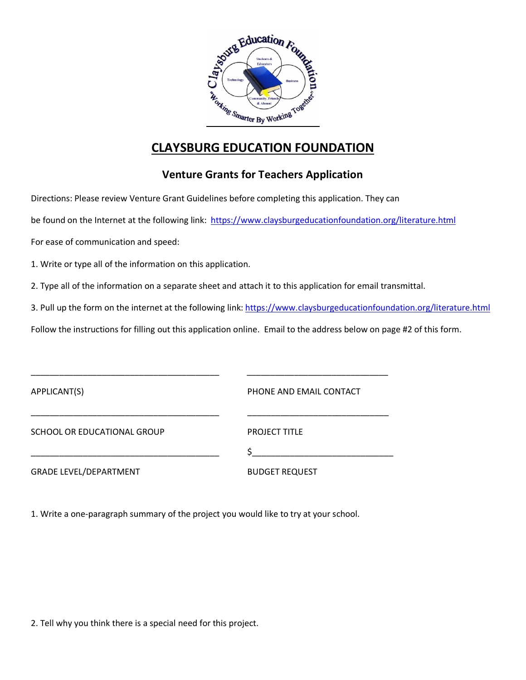

## **CLAYSBURG EDUCATION FOUNDATION**

## **Venture Grants for Teachers Application**

Directions: Please review Venture Grant Guidelines before completing this application. They can

be found on the Internet at the following link: https://www.claysburgeducationfoundation.org/literature.html

For ease of communication and speed:

1. Write or type all of the information on this application.

2. Type all of the information on a separate sheet and attach it to this application for email transmittal.

3. Pull up the form on the internet at the following link: https://www.claysburgeducationfoundation.org/literature.html

Follow the instructions for filling out this application online. Email to the address below on page #2 of this form.

| APPLICANT(S)                  | PHONE AND EMAIL CONTACT |
|-------------------------------|-------------------------|
|                               |                         |
| SCHOOL OR EDUCATIONAL GROUP   | <b>PROJECT TITLE</b>    |
|                               |                         |
| <b>GRADE LEVEL/DEPARTMENT</b> | <b>BUDGET REQUEST</b>   |

1. Write a one-paragraph summary of the project you would like to try at your school.

2. Tell why you think there is a special need for this project.